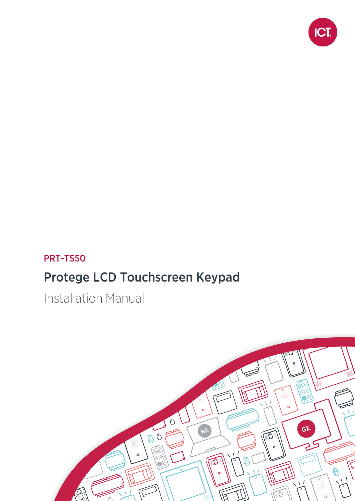

### PRT-TS50

## Protege LCD Touchscreen Keypad

Installation Manual

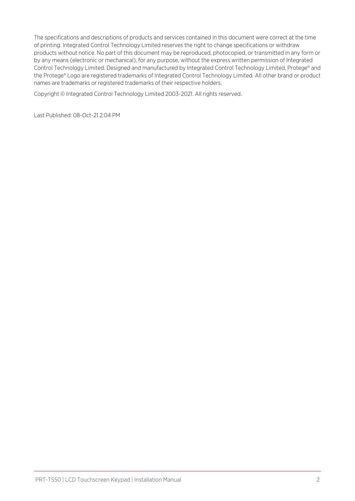The specifications and descriptions of products and services contained in this document were correct at the time of printing. Integrated Control Technology Limited reserves the right to change specifications or withdraw products without notice. No part of this document may be reproduced, photocopied, or transmitted in any form or by any means (electronic or mechanical), for any purpose, without the express written permission of Integrated Control Technology Limited. Designed and manufactured by Integrated Control Technology Limited, Protege® and the Protege® Logo are registered trademarks of Integrated Control Technology Limited. All other brand or product names are trademarks or registered trademarks of their respective holders.

Copyright © Integrated Control Technology Limited 2003-2021. All rights reserved.

Last Published: 08-Oct-21 2:04 PM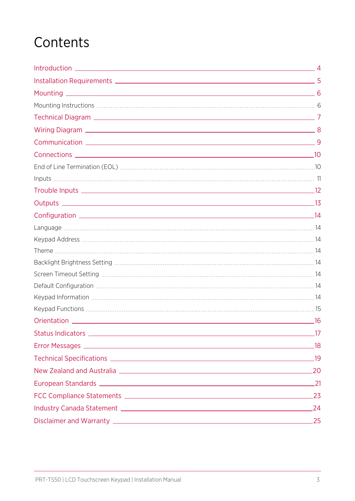## **Contents**

|                              | $\sim$ 4 |
|------------------------------|----------|
|                              |          |
|                              |          |
|                              |          |
|                              |          |
|                              |          |
|                              | -9       |
|                              |          |
|                              |          |
|                              |          |
|                              |          |
|                              |          |
|                              |          |
|                              |          |
|                              |          |
|                              |          |
|                              |          |
|                              |          |
|                              |          |
|                              |          |
|                              |          |
|                              | _16      |
|                              |          |
|                              |          |
|                              |          |
|                              |          |
|                              |          |
|                              |          |
| Industry Canada Statement 24 |          |
|                              |          |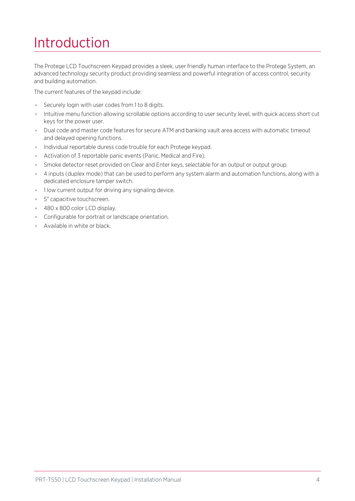## <span id="page-3-0"></span>Introduction

The Protege LCD Touchscreen Keypad provides a sleek, user friendly human interface to the Protege System, an advanced technology security product providing seamless and powerful integration of access control, security and building automation.

The current features of the keypad include:

- Securely login with user codes from 1 to 8 digits.
- ⦁ Intuitive menu function allowing scrollable options according to user security level, with quick access short cut keys for the power user.
- ⦁ Dual code and master code features for secure ATM and banking vault area access with automatic timeout and delayed opening functions.
- ⦁ Individual reportable duress code trouble for each Protege keypad.
- ⦁ Activation of 3 reportable panic events (Panic, Medical and Fire).
- ⦁ Smoke detector reset provided on Clear and Enter keys, selectable for an output or output group.
- ⦁ 4 inputs (duplex mode) that can be used to perform any system alarm and automation functions, along with a dedicated enclosure tamper switch.
- ⦁ 1 low current output for driving any signaling device.
- ⦁ 5" capacitive touchscreen.
- 480 x 800 color LCD display.
- ⦁ Configurable for portrait or landscape orientation.
- ⦁ Available in white or black.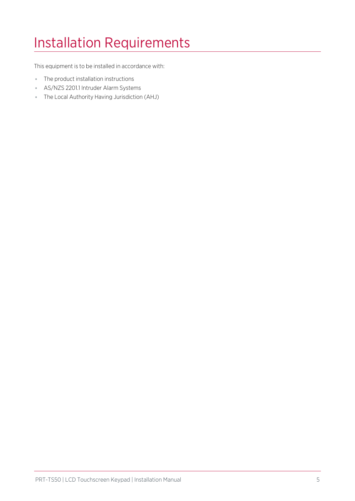# <span id="page-4-0"></span>Installation Requirements

This equipment is to be installed in accordance with:

- ⦁ The product installation instructions
- ⦁ AS/NZS 2201.1 Intruder Alarm Systems
- ⦁ The Local Authority Having Jurisdiction (AHJ)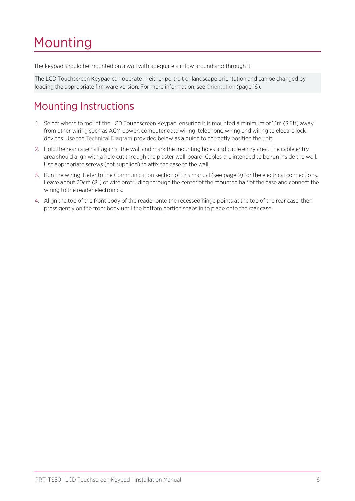## <span id="page-5-0"></span>Mounting

The keypad should be mounted on a wall with adequate air flow around and through it.

<span id="page-5-1"></span>The LCD Touchscreen Keypad can operate in either portrait or landscape orientation and can be changed by loading the appropriate firmware version. For more [information,](#page-15-0) see Orientation (page 16).

### Mounting Instructions

- 1. Select where to mount the LCD Touchscreen Keypad, ensuring it is mounted a minimum of 1.1m (3.5ft) away from other wiring such as ACM power, computer data wiring, telephone wiring and wiring to electric lock devices. Use the Technical Diagram provided below as a guide to correctly position the unit.
- 2. Hold the rear case half against the wall and mark the mounting holes and cable entry area. The cable entry area should align with a hole cut through the plaster wall-board. Cables are intended to be run inside the wall. Use appropriate screws (not supplied) to affix the case to the wall.
- 3. Run the wiring. Refer to the Communication section of this manual (see [page 9\)](#page-8-0) for the electrical connections. Leave about 20cm (8") of wire protruding through the center of the mounted half of the case and connect the wiring to the reader electronics.
- 4. Align the top of the front body of the reader onto the recessed hinge points at the top of the rear case, then press gently on the front body until the bottom portion snaps in to place onto the rear case.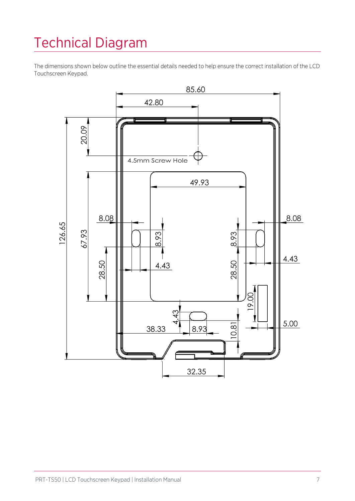# <span id="page-6-0"></span>Technical Diagram

The dimensions shown below outline the essential details needed to help ensure the correct installation of the LCD Touchscreen Keypad.

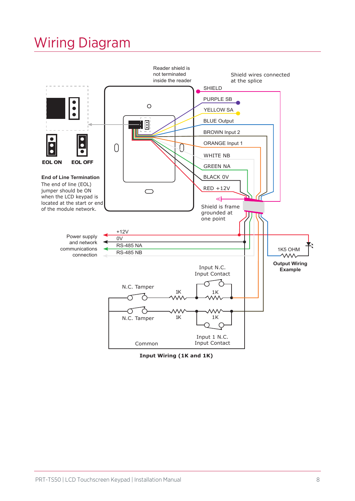## <span id="page-7-0"></span>Wiring Diagram



**Input Wiring (1K and 1K)**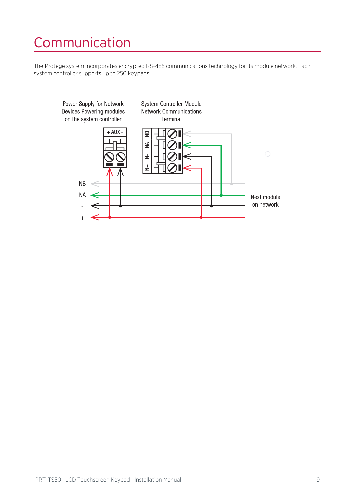# <span id="page-8-0"></span>Communication

The Protege system incorporates encrypted RS-485 communications technology for its module network. Each system controller supports up to 250 keypads.

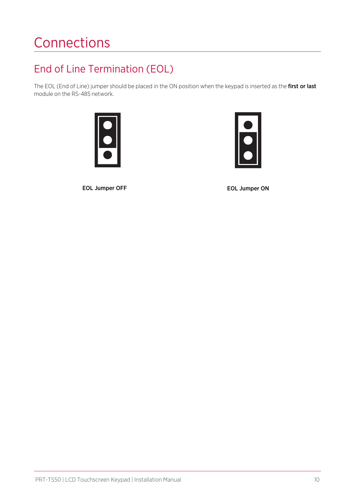# <span id="page-9-0"></span>**Connections**

### <span id="page-9-1"></span>End of Line Termination (EOL)

The EOL (End of Line) jumper should be placed in the ON position when the keypad is inserted as the first or last module on the RS-485 network.





EOL Jumper OFF EOL Jumper ON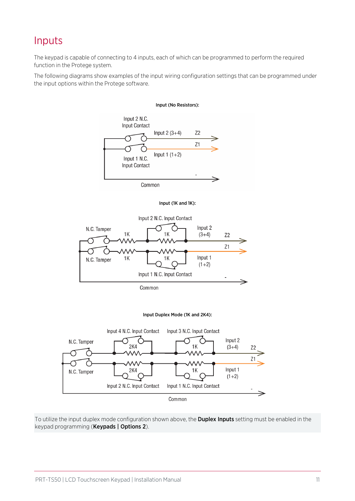### <span id="page-10-0"></span>Inputs

The keypad is capable of connecting to 4 inputs, each of which can be programmed to perform the required function in the Protege system.

The following diagrams show examples of the input wiring configuration settings that can be programmed under the input options within the Protege software.







To utilize the input duplex mode configuration shown above, the Duplex Inputs setting must be enabled in the keypad programming (Keypads | Options 2).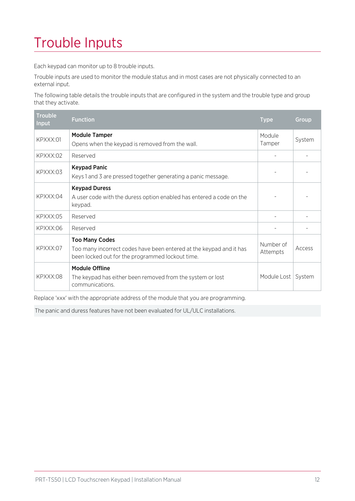# <span id="page-11-0"></span>Trouble Inputs

Each keypad can monitor up to 8 trouble inputs.

Trouble inputs are used to monitor the module status and in most cases are not physically connected to an external input.

The following table details the trouble inputs that are configured in the system and the trouble type and group that they activate.

| <b>Trouble</b><br>Input | <b>Function</b>                                                                                                                                  | <b>Type</b>           | Group  |
|-------------------------|--------------------------------------------------------------------------------------------------------------------------------------------------|-----------------------|--------|
| KPXXX:01                | <b>Module Tamper</b><br>Opens when the keypad is removed from the wall.                                                                          | Module<br>Tamper      | System |
| KPXXX:02                | Reserved                                                                                                                                         |                       |        |
| KPXXX:03                | <b>Keypad Panic</b><br>Keys 1 and 3 are pressed together generating a panic message.                                                             |                       |        |
| KPXXX:04                | <b>Keypad Duress</b><br>A user code with the duress option enabled has entered a code on the<br>keypad.                                          |                       |        |
| KPXXX:05                | Reserved                                                                                                                                         |                       |        |
| KPXXX:06                | Reserved                                                                                                                                         |                       |        |
| KPXXX:07                | <b>Too Many Codes</b><br>Too many incorrect codes have been entered at the keypad and it has<br>been locked out for the programmed lockout time. | Number of<br>Attempts | Access |
| KPXXX:08                | <b>Module Offline</b><br>The keypad has either been removed from the system or lost<br>communications.                                           | Module Lost           | System |

Replace 'xxx' with the appropriate address of the module that you are programming.

The panic and duress features have not been evaluated for UL/ULC installations.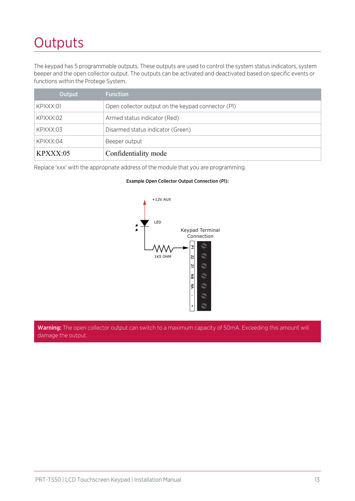## <span id="page-12-0"></span>**Outputs**

The keypad has 5 programmable outputs. These outputs are used to control the system status indicators, system beeper and the open collector output. The outputs can be activated and deactivated based on specific events or functions within the Protege System.

| Output   | <b>Function</b>                                    |
|----------|----------------------------------------------------|
| KPXXX:01 | Open collector output on the keypad connector (P1) |
| KPXXX:02 | Armed status indicator (Red)                       |
| KPXXX:03 | Disarmed status indicator (Green)                  |
| KPXXX:04 | Beeper output                                      |
| KPXXX:05 | Confidentiality mode                               |

Replace 'xxx' with the appropriate address of the module that you are programming.

#### Example Open Collector Output Connection (P1):



Warning: The open collector output can switch to a maximum capacity of 50mA. Exceeding this amount will damage the output.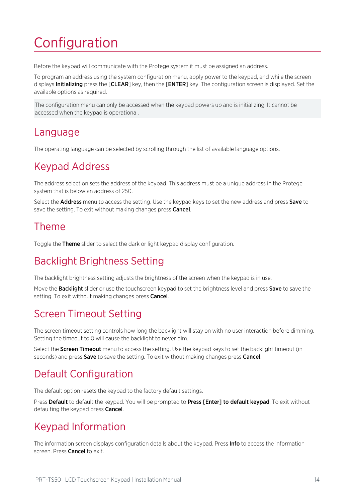# <span id="page-13-0"></span>Configuration

Before the keypad will communicate with the Protege system it must be assigned an address.

To program an address using the system configuration menu, apply power to the keypad, and while the screen displays **Initializing** press the **[CLEAR]** key, then the **[ENTER]** key. The configuration screen is displayed. Set the available options as required.

<span id="page-13-1"></span>The configuration menu can only be accessed when the keypad powers up and is initializing. It cannot be accessed when the keypad is operational.

### Language

<span id="page-13-2"></span>The operating language can be selected by scrolling through the list of available language options.

### Keypad Address

The address selection sets the address of the keypad. This address must be a unique address in the Protege system that is below an address of 250.

<span id="page-13-3"></span>Select the **Address** menu to access the setting. Use the keypad keys to set the new address and press **Save** to save the setting. To exit without making changes press **Cancel**.

### Theme

<span id="page-13-4"></span>Toggle the Theme slider to select the dark or light keypad display configuration.

### Backlight Brightness Setting

The backlight brightness setting adjusts the brightness of the screen when the keypad is in use.

<span id="page-13-5"></span>Move the **Backlight** slider or use the touchscreen keypad to set the brightness level and press **Save** to save the setting. To exit without making changes press **Cancel**.

### Screen Timeout Setting

The screen timeout setting controls how long the backlight will stay on with no user interaction before dimming. Setting the timeout to 0 will cause the backlight to never dim.

<span id="page-13-6"></span>Select the **Screen Timeout** menu to access the setting. Use the keypad keys to set the backlight timeout (in seconds) and press **Save** to save the setting. To exit without making changes press **Cancel**.

### Default Configuration

The default option resets the keypad to the factory default settings.

<span id="page-13-7"></span>Press Default to default the keypad. You will be prompted to Press [Enter] to default keypad. To exit without defaulting the keypad press Cancel.

### Keypad Information

The information screen displays configuration details about the keypad. Press **Info** to access the information screen. Press **Cancel** to exit.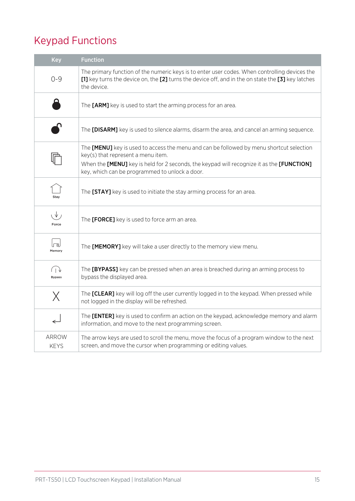### <span id="page-14-0"></span>Keypad Functions

| <b>Key</b>           | <b>Function</b>                                                                                                                                                                                                                                                                             |
|----------------------|---------------------------------------------------------------------------------------------------------------------------------------------------------------------------------------------------------------------------------------------------------------------------------------------|
| $O - 9$              | The primary function of the numeric keys is to enter user codes. When controlling devices the<br>[1] key turns the device on, the [2] turns the device off, and in the on state the [3] key latches<br>the device.                                                                          |
|                      | The [ARM] key is used to start the arming process for an area.                                                                                                                                                                                                                              |
|                      | The [DISARM] key is used to silence alarms, disarm the area, and cancel an arming sequence.                                                                                                                                                                                                 |
|                      | The [MENU] key is used to access the menu and can be followed by menu shortcut selection<br>key(s) that represent a menu item.<br>When the <b>[MENU]</b> key is held for 2 seconds, the keypad will recognize it as the <b>[FUNCTION]</b><br>key, which can be programmed to unlock a door. |
| Stay                 | The [STAY] key is used to initiate the stay arming process for an area.                                                                                                                                                                                                                     |
| ιV,<br>Force         | The [FORCE] key is used to force arm an area.                                                                                                                                                                                                                                               |
| رها<br>Memory        | The [MEMORY] key will take a user directly to the memory view menu.                                                                                                                                                                                                                         |
| しり<br><b>Bypass</b>  | The [BYPASS] key can be pressed when an area is breached during an arming process to<br>bypass the displayed area.                                                                                                                                                                          |
| $\times$             | The [CLEAR] key will log off the user currently logged in to the keypad. When pressed while<br>not logged in the display will be refreshed.                                                                                                                                                 |
|                      | The [ENTER] key is used to confirm an action on the keypad, acknowledge memory and alarm<br>information, and move to the next programming screen.                                                                                                                                           |
| ARROW<br><b>KEYS</b> | The arrow keys are used to scroll the menu, move the focus of a program window to the next<br>screen, and move the cursor when programming or editing values.                                                                                                                               |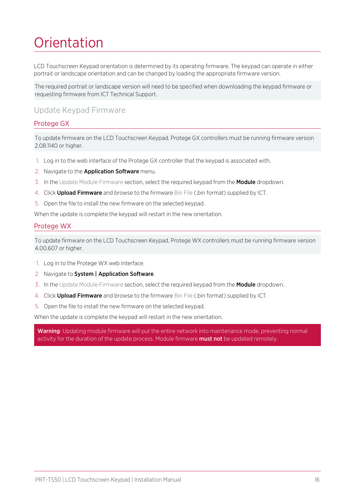# <span id="page-15-0"></span>**Orientation**

LCD Touchscreen Keypad orientation is determined by its operating firmware. The keypad can operate in either portrait or landscape orientation and can be changed by loading the appropriate firmware version.

The required portrait or landscape version will need to be specified when downloading the keypad firmware or requesting firmware from ICT Technical Support.

#### Update Keypad Firmware

#### Protege GX

To update firmware on the LCD Touchscreen Keypad, Protege GX controllers must be running firmware version 2.08.1140 or higher.

- 1. Log in to the web interface of the Protege GX controller that the keypad is associated with.
- 2. Navigate to the **Application Software** menu.
- 3. In the Update Module Firmware section, select the required keypad from the **Module** dropdown.
- 4. Click **Upload Firmware** and browse to the firmware Bin File (.bin format) supplied by ICT.
- 5. Open the file to install the new firmware on the selected keypad.

When the update is complete the keypad will restart in the new orientation.

#### Protege WX

To update firmware on the LCD Touchscreen Keypad, Protege WX controllers must be running firmware version 4.00.607 or higher.

- 1. Log in to the Protege WX web interface.
- 2. Navigate to System | Application Software.
- 3. In the Update Module Firmware section, select the required keypad from the Module dropdown.
- 4. Click Upload Firmware and browse to the firmware Bin File (.bin format) supplied by ICT.
- 5. Open the file to install the new firmware on the selected keypad.

When the update is complete the keypad will restart in the new orientation.

Warning: Updating module firmware will put the entire network into maintenance mode, preventing normal activity for the duration of the update process. Module firmware **must not** be updated remotely.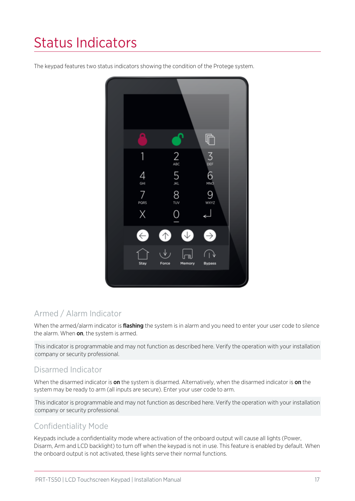# <span id="page-16-0"></span>Status Indicators

The keypad features two status indicators showing the condition of the Protege system.



### Armed / Alarm Indicator

When the armed/alarm indicator is *flashing* the system is in alarm and you need to enter your user code to silence the alarm. When on, the system is armed.

This indicator is programmable and may not function as described here. Verify the operation with your installation company or security professional.

### Disarmed Indicator

When the disarmed indicator is on the system is disarmed. Alternatively, when the disarmed indicator is on the system may be ready to arm (all inputs are secure). Enter your user code to arm.

This indicator is programmable and may not function as described here. Verify the operation with your installation company or security professional.

### Confidentiality Mode

Keypads include a confidentiality mode where activation of the onboard output will cause all lights (Power, Disarm, Arm and LCD backlight) to turn off when the keypad is not in use. This feature is enabled by default. When the onboard output is not activated, these lights serve their normal functions.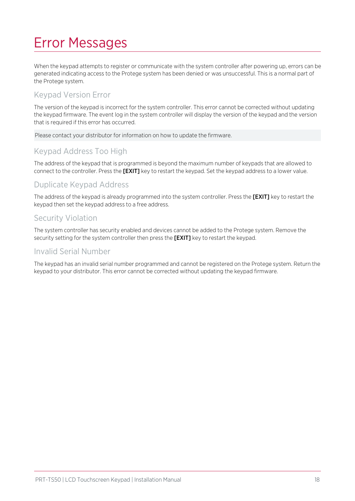## <span id="page-17-0"></span>Error Messages

When the keypad attempts to register or communicate with the system controller after powering up, errors can be generated indicating access to the Protege system has been denied or was unsuccessful. This is a normal part of the Protege system.

### Keypad Version Error

The version of the keypad is incorrect for the system controller. This error cannot be corrected without updating the keypad firmware. The event log in the system controller will display the version of the keypad and the version that is required if this error has occurred.

Please contact your distributor for information on how to update the firmware.

### Keypad Address Too High

The address of the keypad that is programmed is beyond the maximum number of keypads that are allowed to connect to the controller. Press the [EXIT] key to restart the keypad. Set the keypad address to a lower value.

#### Duplicate Keypad Address

The address of the keypad is already programmed into the system controller. Press the [EXIT] key to restart the keypad then set the keypad address to a free address.

#### Security Violation

The system controller has security enabled and devices cannot be added to the Protege system. Remove the security setting for the system controller then press the **[EXIT]** key to restart the keypad.

#### Invalid Serial Number

The keypad has an invalid serial number programmed and cannot be registered on the Protege system. Return the keypad to your distributor. This error cannot be corrected without updating the keypad firmware.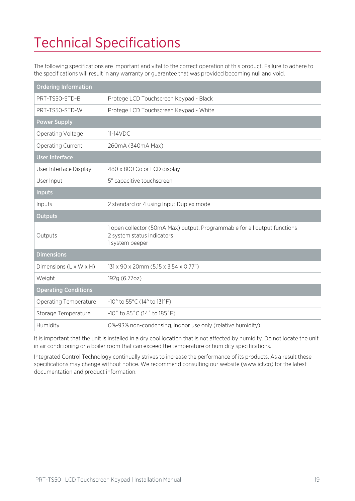# <span id="page-18-0"></span>Technical Specifications

The following specifications are important and vital to the correct operation of this product. Failure to adhere to the specifications will result in any warranty or guarantee that was provided becoming null and void.

| <b>Ordering Information</b>        |                                                                                                                            |  |
|------------------------------------|----------------------------------------------------------------------------------------------------------------------------|--|
| PRT-TS50-STD-B                     | Protege LCD Touchscreen Keypad - Black                                                                                     |  |
| PRT-TS50-STD-W                     | Protege LCD Touchscreen Keypad - White                                                                                     |  |
| <b>Power Supply</b>                |                                                                                                                            |  |
| Operating Voltage                  | 11-14VDC                                                                                                                   |  |
| <b>Operating Current</b>           | 260mA (340mA Max)                                                                                                          |  |
| <b>User Interface</b>              |                                                                                                                            |  |
| User Interface Display             | 480 x 800 Color LCD display                                                                                                |  |
| User Input                         | 5" capacitive touchscreen                                                                                                  |  |
| <b>Inputs</b>                      |                                                                                                                            |  |
| Inputs                             | 2 standard or 4 using Input Duplex mode                                                                                    |  |
| <b>Outputs</b>                     |                                                                                                                            |  |
| Outputs                            | 1 open collector (50mA Max) output. Programmable for all output functions<br>2 system status indicators<br>1 system beeper |  |
| <b>Dimensions</b>                  |                                                                                                                            |  |
| Dimensions $(L \times W \times H)$ | 131 x 90 x 20mm (5.15 x 3.54 x 0.77")                                                                                      |  |
| Weight                             | 192g (6.77oz)                                                                                                              |  |
| <b>Operating Conditions</b>        |                                                                                                                            |  |
| <b>Operating Temperature</b>       | -10° to 55°C (14° to 131°F)                                                                                                |  |
| Storage Temperature                | $-10^{\circ}$ to $85^{\circ}$ C (14 $^{\circ}$ to $185^{\circ}$ F)                                                         |  |
| Humidity                           | 0%-93% non-condensing, indoor use only (relative humidity)                                                                 |  |

It is important that the unit is installed in a dry cool location that is not affected by humidity. Do not locate the unit in air conditioning or a boiler room that can exceed the temperature or humidity specifications.

Integrated Control Technology continually strives to increase the performance of its products. As a result these specifications may change without notice. We recommend consulting our website (www.ict.co) for the latest documentation and product information.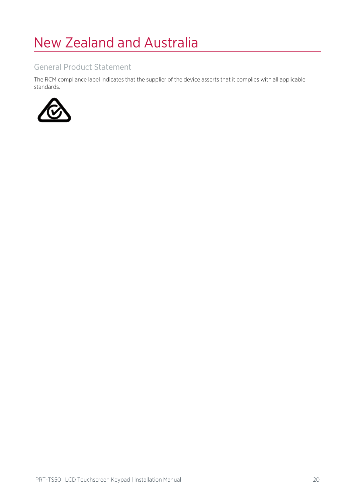## <span id="page-19-0"></span>New Zealand and Australia

#### General Product Statement

The RCM compliance label indicates that the supplier of the device asserts that it complies with all applicable standards.

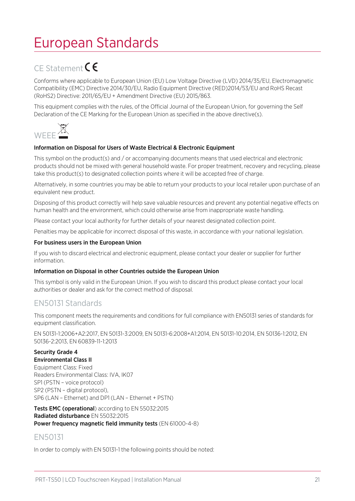## <span id="page-20-0"></span>European Standards

### CE Statement CE

Conforms where applicable to European Union (EU) Low Voltage Directive (LVD) 2014/35/EU, Electromagnetic Compatibility (EMC) Directive 2014/30/EU, Radio Equipment Directive (RED)2014/53/EU and RoHS Recast (RoHS2) Directive: 2011/65/EU + Amendment Directive (EU) 2015/863.

This equipment complies with the rules, of the Official Journal of the European Union, for governing the Self Declaration of the CE Marking for the European Union as specified in the above directive(s).



#### Information on Disposal for Users of Waste Electrical & Electronic Equipment

This symbol on the product(s) and / or accompanying documents means that used electrical and electronic products should not be mixed with general household waste. For proper treatment, recovery and recycling, please take this product(s) to designated collection points where it will be accepted free of charge.

Alternatively, in some countries you may be able to return your products to your local retailer upon purchase of an equivalent new product.

Disposing of this product correctly will help save valuable resources and prevent any potential negative effects on human health and the environment, which could otherwise arise from inappropriate waste handling.

Please contact your local authority for further details of your nearest designated collection point.

Penalties may be applicable for incorrect disposal of this waste, in accordance with your national legislation.

#### For business users in the European Union

If you wish to discard electrical and electronic equipment, please contact your dealer or supplier for further information.

#### Information on Disposal in other Countries outside the European Union

This symbol is only valid in the European Union. If you wish to discard this product please contact your local authorities or dealer and ask for the correct method of disposal.

#### EN50131 Standards

This component meets the requirements and conditions for full compliance with EN50131 series of standards for equipment classification.

EN 50131-1:2006+A2:2017, EN 50131-3:2009, EN 50131-6:2008+A1:2014, EN 50131-10:2014, EN 50136-1:2012, EN 50136-2:2013, EN 60839-11-1:2013

### Security Grade 4

Environmental Class II Equipment Class: Fixed Readers Environmental Class: IVA, IK07 SP1 (PSTN – voice protocol) SP2 (PSTN – digital protocol), SP6 (LAN – Ethernet) and DP1 (LAN – Ethernet + PSTN)

Tests EMC (operational) according to EN 55032:2015 Radiated disturbance EN 55032:2015 Power frequency magnetic field immunity tests (EN 61000-4-8)

#### EN50131

In order to comply with EN 50131-1 the following points should be noted: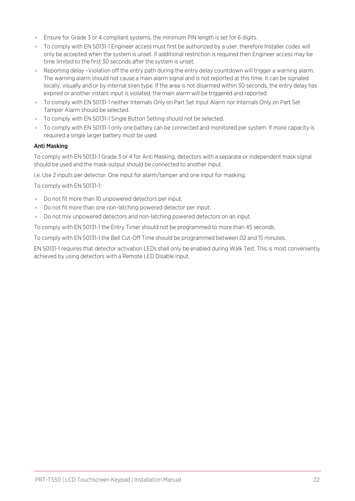- Ensure for Grade 3 or 4 compliant systems, the minimum PIN length is set for 6 digits.
- ⦁ To comply with EN 50131-1 Engineer access must first be authorized by a user, therefore Installer codes will only be accepted when the system is unset. If additional restriction is required then Engineer access may be time limited to the first 30 seconds after the system is unset.
- ⦁ Reporting delay –Violation off the entry path during the entry delay countdown will trigger a warning alarm. The warning alarm should not cause a main alarm signal and is not reported at this time. It can be signaled locally, visually and or by internal siren type. If the area is not disarmed within 30 seconds, the entry delay has expired or another instant input is violated, the main alarm will be triggered and reported.
- ⦁ To comply with EN 50131-1 neither Internals Only on Part Set Input Alarm nor Internals Only on Part Set Tamper Alarm should be selected.
- ⦁ To comply with EN 50131-1 Single Button Setting should not be selected.
- ⦁ To comply with EN 50131-1 only one battery can be connected and monitored per system. If more capacity is required a single larger battery must be used.

#### Anti Masking

To comply with EN 50131-1 Grade 3 or 4 for Anti Masking, detectors with a separate or independent mask signal should be used and the mask output should be connected to another input.

I.e. Use 2 inputs per detector. One input for alarm/tamper and one input for masking.

To comply with EN 50131-1:

- ⦁ Do not fit more than 10 unpowered detectors per input,
- ⦁ Do not fit more than one non-latching powered detector per input,
- Do not mix unpowered detectors and non-latching powered detectors on an input.

To comply with EN 50131-1 the Entry Timer should not be programmed to more than 45 seconds.

To comply with EN 50131-1 the Bell Cut-Off Time should be programmed between 02 and 15 minutes.

EN 50131-1 requires that detector activation LEDs shall only be enabled during Walk Test. This is most conveniently achieved by using detectors with a Remote LED Disable input.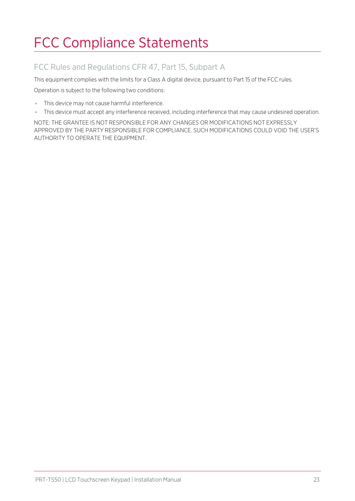# <span id="page-22-0"></span>FCC Compliance Statements

### FCC Rules and Regulations CFR 47, Part 15, Subpart A

This equipment complies with the limits for a Class A digital device, pursuant to Part 15 of the FCC rules.

Operation is subject to the following two conditions:

- ⦁ This device may not cause harmful interference.
- ⦁ This device must accept any interference received, including interference that may cause undesired operation.

NOTE: THE GRANTEE IS NOT RESPONSIBLE FOR ANY CHANGES OR MODIFICATIONS NOT EXPRESSLY APPROVED BY THE PARTY RESPONSIBLE FOR COMPLIANCE. SUCH MODIFICATIONS COULD VOID THE USER'S AUTHORITY TO OPERATE THE EQUIPMENT.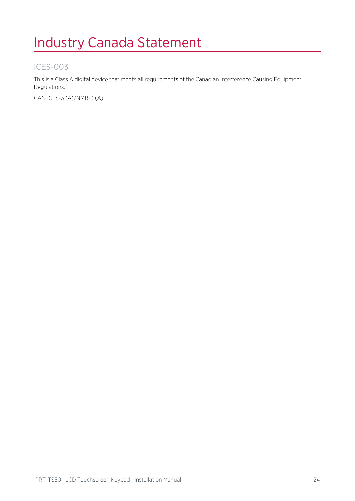## <span id="page-23-0"></span>Industry Canada Statement

### ICES-003

This is a Class A digital device that meets all requirements of the Canadian Interference Causing Equipment Regulations.

CAN ICES-3 (A)/NMB-3 (A)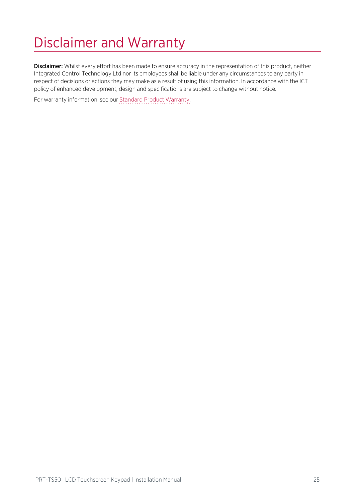# <span id="page-24-0"></span>Disclaimer and Warranty

Disclaimer: Whilst every effort has been made to ensure accuracy in the representation of this product, neither Integrated Control Technology Ltd nor its employees shall be liable under any circumstances to any party in respect of decisions or actions they may make as a result of using this information. In accordance with the ICT policy of enhanced development, design and specifications are subject to change without notice.

For warranty information, see our Standard Product [Warranty.](https://www.ict.co/Standard-Product-Warranty)